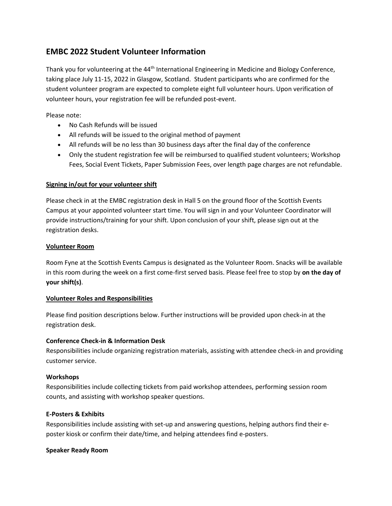# **EMBC 2022 Student Volunteer Information**

Thank you for volunteering at the 44<sup>th</sup> International Engineering in Medicine and Biology Conference, taking place July 11-15, 2022 in Glasgow, Scotland. Student participants who are confirmed for the student volunteer program are expected to complete eight full volunteer hours. Upon verification of volunteer hours, your registration fee will be refunded post-event.

Please note:

- No Cash Refunds will be issued
- All refunds will be issued to the original method of payment
- All refunds will be no less than 30 business days after the final day of the conference
- Only the student registration fee will be reimbursed to qualified student volunteers; Workshop Fees, Social Event Tickets, Paper Submission Fees, over length page charges are not refundable.

## **Signing in/out for your volunteer shift**

Please check in at the EMBC registration desk in Hall 5 on the ground floor of the Scottish Events Campus at your appointed volunteer start time. You will sign in and your Volunteer Coordinator will provide instructions/training for your shift. Upon conclusion of your shift, please sign out at the registration desks.

## **Volunteer Room**

Room Fyne at the Scottish Events Campus is designated as the Volunteer Room. Snacks will be available in this room during the week on a first come-first served basis. Please feel free to stop by **on the day of your shift(s)**.

#### **Volunteer Roles and Responsibilities**

Please find position descriptions below. Further instructions will be provided upon check-in at the registration desk.

# **Conference Check-in & Information Desk**

Responsibilities include organizing registration materials, assisting with attendee check-in and providing customer service.

#### **Workshops**

Responsibilities include collecting tickets from paid workshop attendees, performing session room counts, and assisting with workshop speaker questions.

#### **E-Posters & Exhibits**

Responsibilities include assisting with set-up and answering questions, helping authors find their eposter kiosk or confirm their date/time, and helping attendees find e-posters.

#### **Speaker Ready Room**